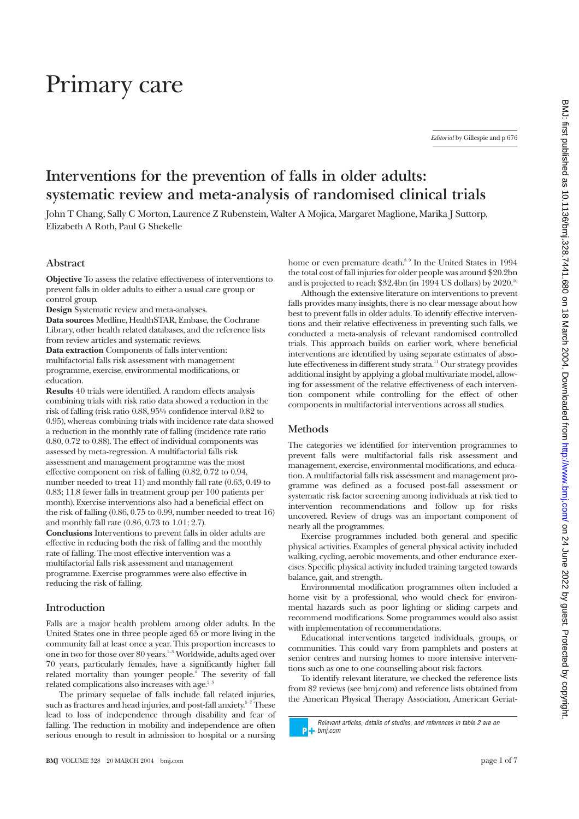BMJ: first published as 10.1136/bmj.328.7441.680 on 18 March 2004. Downloaded from http://www.bmj.com/ on 24 June 2022 by guest. Protected by copyright DRIST: tilst published as 10.11362:1441.689.1441.680 on 18 March 2004. Downloaded from Erby://www.bmj.com/ Dro<br>DRIST: first published as 10.1136.7441.682.1441.680 on 18 March 2004. Downloaded from Hitr://www.bmj.com/ Dro

# Primary care

*Editorial* by Gillespie and p 676

# **Interventions for the prevention of falls in older adults: systematic review and meta-analysis of randomised clinical trials**

John T Chang, Sally C Morton, Laurence Z Rubenstein, Walter A Mojica, Margaret Maglione, Marika J Suttorp, Elizabeth A Roth, Paul G Shekelle

# **Abstract**

**Objective** To assess the relative effectiveness of interventions to prevent falls in older adults to either a usual care group or control group.

**Design** Systematic review and meta-analyses.

**Data sources** Medline, HealthSTAR, Embase, the Cochrane Library, other health related databases, and the reference lists from review articles and systematic reviews.

**Data extraction** Components of falls intervention: multifactorial falls risk assessment with management programme, exercise, environmental modifications, or education.

**Results** 40 trials were identified. A random effects analysis combining trials with risk ratio data showed a reduction in the risk of falling (risk ratio 0.88, 95% confidence interval 0.82 to 0.95), whereas combining trials with incidence rate data showed a reduction in the monthly rate of falling (incidence rate ratio 0.80, 0.72 to 0.88). The effect of individual components was assessed by meta-regression. A multifactorial falls risk assessment and management programme was the most effective component on risk of falling (0.82, 0.72 to 0.94, number needed to treat 11) and monthly fall rate (0.63, 0.49 to 0.83; 11.8 fewer falls in treatment group per 100 patients per month). Exercise interventions also had a beneficial effect on the risk of falling (0.86, 0.75 to 0.99, number needed to treat 16) and monthly fall rate (0.86, 0.73 to 1.01; 2.7). **Conclusions** Interventions to prevent falls in older adults are

effective in reducing both the risk of falling and the monthly rate of falling. The most effective intervention was a multifactorial falls risk assessment and management programme. Exercise programmes were also effective in reducing the risk of falling.

#### **Introduction**

Falls are a major health problem among older adults. In the United States one in three people aged 65 or more living in the community fall at least once a year. This proportion increases to one in two for those over 80 years.1–3 Worldwide, adults aged over 70 years, particularly females, have a significantly higher fall related mortality than younger people.<sup>4</sup> The severity of fall related complications also increases with age.<sup>2 3</sup>

The primary sequelae of falls include fall related injuries, such as fractures and head injuries, and post-fall anxiety.<sup>5-7</sup> These lead to loss of independence through disability and fear of falling. The reduction in mobility and independence are often serious enough to result in admission to hospital or a nursing home or even premature death.<sup>8 9</sup> In the United States in 1994 the total cost of fall injuries for older people was around \$20.2bn and is projected to reach \$32.4bn (in 1994 US dollars) by  $2020^{10}$ 

Although the extensive literature on interventions to prevent falls provides many insights, there is no clear message about how best to prevent falls in older adults. To identify effective interventions and their relative effectiveness in preventing such falls, we conducted a meta-analysis of relevant randomised controlled trials. This approach builds on earlier work, where beneficial interventions are identified by using separate estimates of absolute effectiveness in different study strata.11 Our strategy provides additional insight by applying a global multivariate model, allowing for assessment of the relative effectiveness of each intervention component while controlling for the effect of other components in multifactorial interventions across all studies.

#### **Methods**

The categories we identified for intervention programmes to prevent falls were multifactorial falls risk assessment and management, exercise, environmental modifications, and education. A multifactorial falls risk assessment and management programme was defined as a focused post-fall assessment or systematic risk factor screening among individuals at risk tied to intervention recommendations and follow up for risks uncovered. Review of drugs was an important component of nearly all the programmes.

Exercise programmes included both general and specific physical activities. Examples of general physical activity included walking, cycling, aerobic movements, and other endurance exercises. Specific physical activity included training targeted towards balance, gait, and strength.

Environmental modification programmes often included a home visit by a professional, who would check for environmental hazards such as poor lighting or sliding carpets and recommend modifications. Some programmes would also assist with implementation of recommendations.

Educational interventions targeted individuals, groups, or communities. This could vary from pamphlets and posters at senior centres and nursing homes to more intensive interventions such as one to one counselling about risk factors.

To identify relevant literature, we checked the reference lists from 82 reviews (see bmj.com) and reference lists obtained from the American Physical Therapy Association, American Geriat-

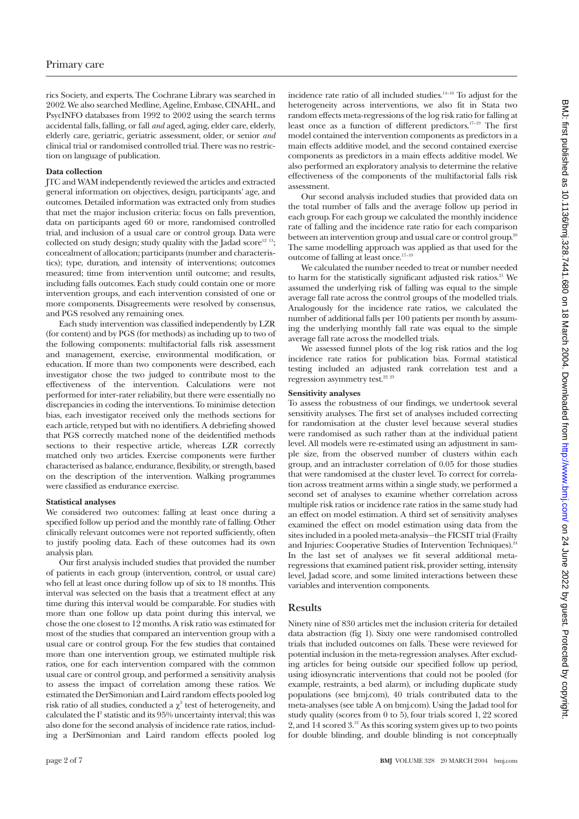rics Society, and experts. The Cochrane Library was searched in 2002. We also searched Medline, Ageline, Embase, CINAHL, and PsycINFO databases from 1992 to 2002 using the search terms accidental falls, falling, or fall *and* aged, aging, elder care, elderly, elderly care, geriatric, geriatric assessment, older, or senior *and* clinical trial or randomised controlled trial. There was no restriction on language of publication.

#### **Data collection**

JTC and WAM independently reviewed the articles and extracted general information on objectives, design, participants' age, and outcomes. Detailed information was extracted only from studies that met the major inclusion criteria: focus on falls prevention, data on participants aged 60 or more, randomised controlled trial, and inclusion of a usual care or control group. Data were collected on study design; study quality with the Jadad score<sup>12 13</sup>; concealment of allocation; participants (number and characteristics); type, duration, and intensity of interventions; outcomes measured; time from intervention until outcome; and results, including falls outcomes. Each study could contain one or more intervention groups, and each intervention consisted of one or more components. Disagreements were resolved by consensus, and PGS resolved any remaining ones.

Each study intervention was classified independently by LZR (for content) and by PGS (for methods) as including up to two of the following components: multifactorial falls risk assessment and management, exercise, environmental modification, or education. If more than two components were described, each investigator chose the two judged to contribute most to the effectiveness of the intervention. Calculations were not performed for inter-rater reliability, but there were essentially no discrepancies in coding the interventions. To minimise detection bias, each investigator received only the methods sections for each article, retyped but with no identifiers. A debriefing showed that PGS correctly matched none of the deidentified methods sections to their respective article, whereas LZR correctly matched only two articles. Exercise components were further characterised as balance, endurance, flexibility, or strength, based on the description of the intervention. Walking programmes were classified as endurance exercise.

#### **Statistical analyses**

We considered two outcomes: falling at least once during a specified follow up period and the monthly rate of falling. Other clinically relevant outcomes were not reported sufficiently, often to justify pooling data. Each of these outcomes had its own analysis plan.

Our first analysis included studies that provided the number of patients in each group (intervention, control, or usual care) who fell at least once during follow up of six to 18 months. This interval was selected on the basis that a treatment effect at any time during this interval would be comparable. For studies with more than one follow up data point during this interval, we chose the one closest to 12 months. A risk ratio was estimated for most of the studies that compared an intervention group with a usual care or control group. For the few studies that contained more than one intervention group, we estimated multiple risk ratios, one for each intervention compared with the common usual care or control group, and performed a sensitivity analysis to assess the impact of correlation among these ratios. We estimated the DerSimonian and Laird random effects pooled log risk ratio of all studies, conducted a  $\chi^2$  test of heterogeneity, and calculated the I<sup>2</sup> statistic and its 95% uncertainty interval; this was also done for the second analysis of incidence rate ratios, including a DerSimonian and Laird random effects pooled log incidence rate ratio of all included studies. $14-16$  To adjust for the heterogeneity across interventions, we also fit in Stata two random effects meta-regressions of the log risk ratio for falling at least once as a function of different predictors.17–19 The first model contained the intervention components as predictors in a main effects additive model, and the second contained exercise components as predictors in a main effects additive model. We also performed an exploratory analysis to determine the relative effectiveness of the components of the multifactorial falls risk assessment.

Our second analysis included studies that provided data on the total number of falls and the average follow up period in each group. For each group we calculated the monthly incidence rate of falling and the incidence rate ratio for each comparison between an intervention group and usual care or control group.<sup>20</sup> The same modelling approach was applied as that used for the outcome of falling at least once.17–19

We calculated the number needed to treat or number needed to harm for the statistically significant adjusted risk ratios.<sup>21</sup> We assumed the underlying risk of falling was equal to the simple average fall rate across the control groups of the modelled trials. Analogously for the incidence rate ratios, we calculated the number of additional falls per 100 patients per month by assuming the underlying monthly fall rate was equal to the simple average fall rate across the modelled trials.

We assessed funnel plots of the log risk ratios and the log incidence rate ratios for publication bias. Formal statistical testing included an adjusted rank correlation test and a regression asymmetry test.<sup>22 23</sup>

#### **Sensitivity analyses**

To assess the robustness of our findings, we undertook several sensitivity analyses. The first set of analyses included correcting for randomisation at the cluster level because several studies were randomised as such rather than at the individual patient level. All models were re-estimated using an adjustment in sample size, from the observed number of clusters within each group, and an intracluster correlation of 0.05 for those studies that were randomised at the cluster level. To correct for correlation across treatment arms within a single study, we performed a second set of analyses to examine whether correlation across multiple risk ratios or incidence rate ratios in the same study had an effect on model estimation. A third set of sensitivity analyses examined the effect on model estimation using data from the sites included in a pooled meta-analysis—the FICSIT trial (Frailty and Injuries: Cooperative Studies of Intervention Techniques).<sup>24</sup> In the last set of analyses we fit several additional metaregressions that examined patient risk, provider setting, intensity level, Jadad score, and some limited interactions between these variables and intervention components.

# **Results**

Ninety nine of 830 articles met the inclusion criteria for detailed data abstraction (fig 1). Sixty one were randomised controlled trials that included outcomes on falls. These were reviewed for potential inclusion in the meta-regression analyses. After excluding articles for being outside our specified follow up period, using idiosyncratic interventions that could not be pooled (for example, restraints, a bed alarm), or including duplicate study populations (see bmj.com), 40 trials contributed data to the meta-analyses (see table A on bmj.com). Using the Jadad tool for study quality (scores from 0 to 5), four trials scored 1, 22 scored 2, and 14 scored 3.12 As this scoring system gives up to two points for double blinding, and double blinding is not conceptually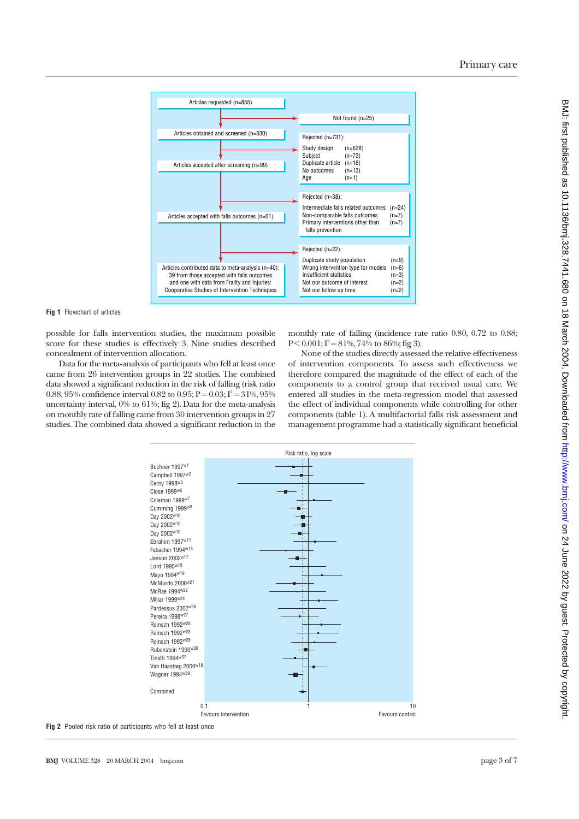

**Fig 1** Flowchart of articles

possible for falls intervention studies, the maximum possible score for these studies is effectively 3. Nine studies described concealment of intervention allocation.

Data for the meta-analysis of participants who fell at least once came from 26 intervention groups in 22 studies. The combined data showed a significant reduction in the risk of falling (risk ratio 0.88, 95% confidence interval 0.82 to 0.95;  $P = 0.03$ ;  $I^2 = 31$ %, 95% uncertainty interval, 0% to 61%; fig 2). Data for the meta-analysis on monthly rate of falling came from 30 intervention groups in 27 studies. The combined data showed a significant reduction in the monthly rate of falling (incidence rate ratio 0.80, 0.72 to 0.88;  $P \le 0.001$ ;  $I^2 = 81\%$ , 74% to 86%; fig 3).

None of the studies directly assessed the relative effectiveness of intervention components. To assess such effectiveness we therefore compared the magnitude of the effect of each of the components to a control group that received usual care. We entered all studies in the meta-regression model that assessed the effect of individual components while controlling for other components (table 1). A multifactorial falls risk assessment and management programme had a statistically significant beneficial

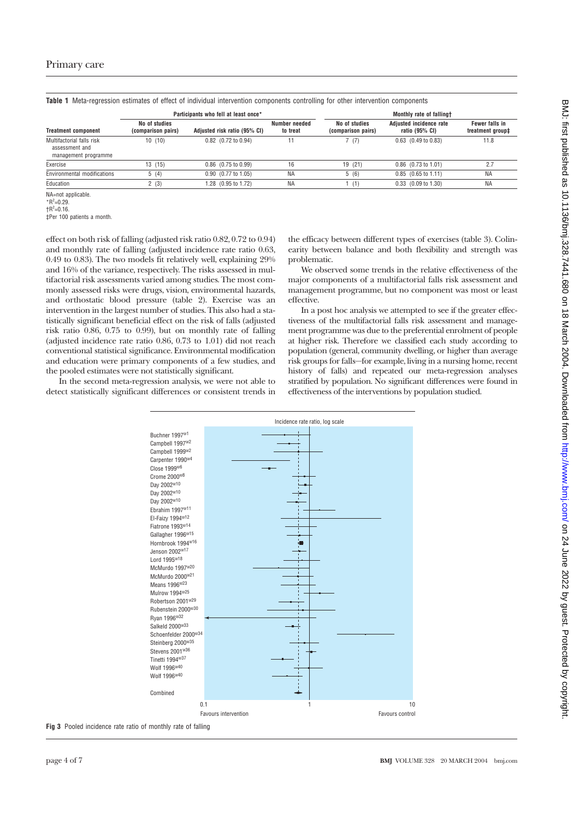|                                                                     |                                     | Participants who fell at least once* |                           | Monthly rate of falling+            |                                                  |                                    |  |
|---------------------------------------------------------------------|-------------------------------------|--------------------------------------|---------------------------|-------------------------------------|--------------------------------------------------|------------------------------------|--|
| <b>Treatment component</b>                                          | No of studies<br>(comparison pairs) | Adjusted risk ratio (95% CI)         | Number needed<br>to treat | No of studies<br>(comparison pairs) | <b>Adiusted incidence rate</b><br>ratio (95% CI) | Fewer falls in<br>treatment group‡ |  |
| Multifactorial falls risk<br>assessment and<br>management programme | 10(10)                              | $0.82$ $(0.72$ to $0.94)$            |                           | 7 (7)                               | $0.63$ $(0.49 \text{ to } 0.83)$                 | 11.8                               |  |
| Exercise                                                            | 13(15)                              | $0.86$ $(0.75$ to $0.99)$            | 16                        | 19 (21)                             | $0.86$ $(0.73 \text{ to } 1.01)$                 | 2.7                                |  |
| Environmental modifications                                         | 5(4)                                | $0.90$ $(0.77$ to $1.05)$            | <b>NA</b>                 | 5(6)                                | $0.85$ $(0.65 \text{ to } 1.11)$                 | <b>NA</b>                          |  |
| Education                                                           | 2(3)                                | 1.28 (0.95 to 1.72)                  | <b>NA</b>                 | (1)                                 | $0.33$ $(0.09 \text{ to } 1.30)$                 | <b>NA</b>                          |  |
| NA=not applicable.                                                  |                                     |                                      |                           |                                     |                                                  |                                    |  |

**Table 1** Meta-regression estimates of effect of individual intervention components controlling for other intervention components

‡Per 100 patients a month.

effect on both risk of falling (adjusted risk ratio 0.82, 0.72 to 0.94) and monthly rate of falling (adjusted incidence rate ratio 0.63, 0.49 to 0.83). The two models fit relatively well, explaining 29% and 16% of the variance, respectively. The risks assessed in multifactorial risk assessments varied among studies. The most commonly assessed risks were drugs, vision, environmental hazards, and orthostatic blood pressure (table 2). Exercise was an intervention in the largest number of studies. This also had a statistically significant beneficial effect on the risk of falls (adjusted risk ratio 0.86, 0.75 to 0.99), but on monthly rate of falling (adjusted incidence rate ratio 0.86, 0.73 to 1.01) did not reach conventional statistical significance. Environmental modification and education were primary components of a few studies, and the pooled estimates were not statistically significant.

In the second meta-regression analysis, we were not able to detect statistically significant differences or consistent trends in the efficacy between different types of exercises (table 3). Colinearity between balance and both flexibility and strength was problematic.

We observed some trends in the relative effectiveness of the major components of a multifactorial falls risk assessment and management programme, but no component was most or least effective.

In a post hoc analysis we attempted to see if the greater effectiveness of the multifactorial falls risk assessment and management programme was due to the preferential enrolment of people at higher risk. Therefore we classified each study according to population (general, community dwelling, or higher than average risk groups for falls—for example, living in a nursing home, recent history of falls) and repeated our meta-regression analyses stratified by population. No significant differences were found in effectiveness of the interventions by population studied.





 $*R^2 = 0.29$ .  $\dagger$ R<sup>2</sup>=0.16.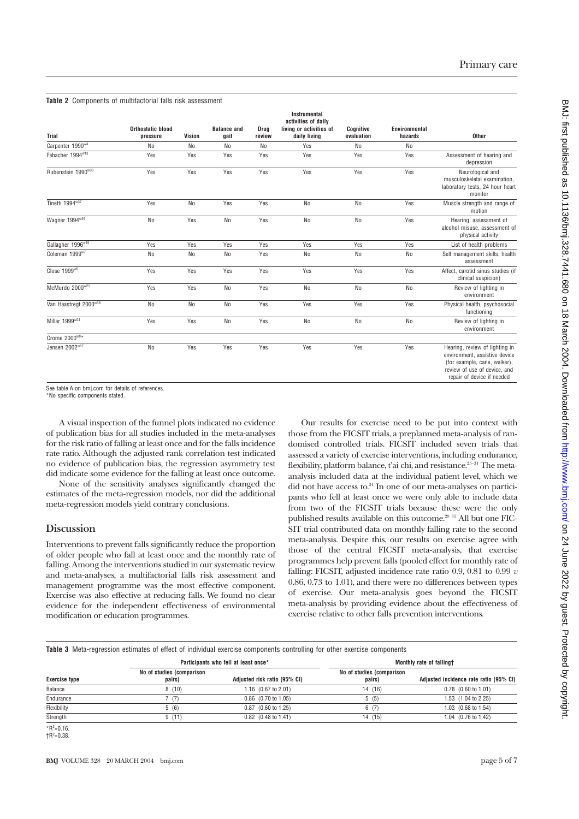| <b>Trial</b>                      | Orthostatic blood<br>pressure | <b>Vision</b> | <b>Balance and</b><br>gait | Drua<br>review | Instrumental<br>activities of daily<br>living or activities of<br>daily living | Coanitive<br>evaluation | <b>Environmental</b><br>hazards | <b>Other</b>                                                                                                                                                  |
|-----------------------------------|-------------------------------|---------------|----------------------------|----------------|--------------------------------------------------------------------------------|-------------------------|---------------------------------|---------------------------------------------------------------------------------------------------------------------------------------------------------------|
| Carpenter 1990 <sup>w4</sup>      | No                            | No            | No                         | No             | Yes                                                                            | No                      | No                              |                                                                                                                                                               |
| Fabacher 1994 <sup>w13</sup>      | Yes                           | Yes           | Yes                        | Yes            | Yes                                                                            | Yes                     | Yes                             | Assessment of hearing and<br>depression                                                                                                                       |
| Rubenstein 1990 <sup>w30</sup>    | Yes                           | Yes           | Yes                        | Yes            | Yes                                                                            | Yes                     | Yes                             | Neurological and<br>musculoskeletal examination,<br>laboratory tests, 24 hour heart<br>monitor                                                                |
| Tinetti 1994 <sup>w37</sup>       | Yes                           | No            | Yes                        | Yes            | No                                                                             | No                      | Yes                             | Muscle strength and range of<br>motion                                                                                                                        |
| Wagner 1994 <sup>w39</sup>        | <b>No</b>                     | Yes           | No                         | Yes            | <b>No</b>                                                                      | N <sub>o</sub>          | Yes                             | Hearing, assessment of<br>alcohol misuse, assessment of<br>physical activity                                                                                  |
| Gallagher 1996 <sup>w15</sup>     | Yes                           | Yes           | Yes                        | Yes            | Yes                                                                            | Yes                     | Yes                             | List of health problems                                                                                                                                       |
| Coleman 1999 <sup>w7</sup>        | No                            | No            | No                         | Yes            | No                                                                             | No                      | No                              | Self management skills, health<br>assessment                                                                                                                  |
| Close 1999 <sup>w6</sup>          | Yes                           | Yes           | Yes                        | Yes            | Yes                                                                            | Yes                     | Yes                             | Affect, carotid sinus studies (if<br>clinical suspicion)                                                                                                      |
| McMurdo 2000 <sup>w21</sup>       | Yes                           | Yes           | No                         | Yes            | <b>No</b>                                                                      | No                      | No                              | Review of lighting in<br>environment                                                                                                                          |
| Van Haastregt 2000 <sup>w38</sup> | No                            | No            | No                         | Yes            | Yes                                                                            | Yes                     | Yes                             | Physical health, psychosocial<br>functioning                                                                                                                  |
| Millar 1999w24                    | Yes                           | Yes           | No                         | Yes            | <b>No</b>                                                                      | <b>No</b>               | <b>No</b>                       | Review of lighting in<br>environment                                                                                                                          |
| Crome 2000 <sup>w8*</sup>         |                               |               |                            |                |                                                                                |                         |                                 |                                                                                                                                                               |
| Jensen 2002 <sup>w17</sup>        | <b>No</b>                     | Yes           | Yes                        | Yes            | Yes                                                                            | Yes                     | Yes                             | Hearing, review of lighting in<br>environment, assistive device<br>(for example, cane, walker),<br>review of use of device, and<br>repair of device if needed |

**Table 2** Components of multifactorial falls risk assessment

See table A on bmi.com for details of references.

\*No specific components stated.

A visual inspection of the funnel plots indicated no evidence of publication bias for all studies included in the meta-analyses for the risk ratio of falling at least once and for the falls incidence rate ratio. Although the adjusted rank correlation test indicated no evidence of publication bias, the regression asymmetry test did indicate some evidence for the falling at least once outcome.

None of the sensitivity analyses significantly changed the estimates of the meta-regression models, nor did the additional meta-regression models yield contrary conclusions.

### **Discussion**

 $*R^2 = 0.16$ .  $\dagger$ R<sup>2</sup>=0.38.

Interventions to prevent falls significantly reduce the proportion of older people who fall at least once and the monthly rate of falling. Among the interventions studied in our systematic review and meta-analyses, a multifactorial falls risk assessment and management programme was the most effective component. Exercise was also effective at reducing falls. We found no clear evidence for the independent effectiveness of environmental modification or education programmes.

Our results for exercise need to be put into context with those from the FICSIT trials, a preplanned meta-analysis of randomised controlled trials. FICSIT included seven trials that assessed a variety of exercise interventions, including endurance, flexibility, platform balance, t'ai chi, and resistance.<sup>25-31</sup> The metaanalysis included data at the individual patient level, which we did not have access to.<sup>24</sup> In one of our meta-analyses on participants who fell at least once we were only able to include data from two of the FICSIT trials because these were the only published results available on this outcome.<sup>29 31</sup> All but one FIC-SIT trial contributed data on monthly falling rate to the second meta-analysis. Despite this, our results on exercise agree with those of the central FICSIT meta-analysis, that exercise programmes help prevent falls (pooled effect for monthly rate of falling: FICSIT, adjusted incidence rate ratio 0.9, 0.81 to 0.99 *v* 0.86, 0.73 to 1.01), and there were no differences between types of exercise. Our meta-analysis goes beyond the FICSIT meta-analysis by providing evidence about the effectiveness of exercise relative to other falls prevention interventions.

|                      | <b>Table 3</b> Meta-regression estimates of effect of individual exercise components controlling for other exercise components |                                      |                                     |                                        |  |
|----------------------|--------------------------------------------------------------------------------------------------------------------------------|--------------------------------------|-------------------------------------|----------------------------------------|--|
|                      |                                                                                                                                | Participants who fell at least once* | Monthly rate of falling+            |                                        |  |
| <b>Exercise type</b> | No of studies (comparison<br>pairs)                                                                                            | Adjusted risk ratio (95% CI)         | No of studies (comparison<br>pairs) | Adjusted incidence rate ratio (95% CI) |  |
| Balance              | 8(10)                                                                                                                          | 1.16 (0.67 to 2.01)                  | 14 (16)                             | $0.78$ $(0.60 \text{ to } 1.01)$       |  |
| Endurance            | (7)                                                                                                                            | $0.86$ $(0.70 \text{ to } 1.05)$     | 5(5)                                | 1.53 (1.04 to 2.25)                    |  |
| Flexibility          | 5(6)                                                                                                                           | $0.87$ $(0.60 \text{ to } 1.25)$     | 6(7)                                | 1.03 (0.68 to 1.54)                    |  |

Strength 9 (11) 0.82 (0.48 to 1.41) 14 (15) 1.04 (0.76 to 1.42)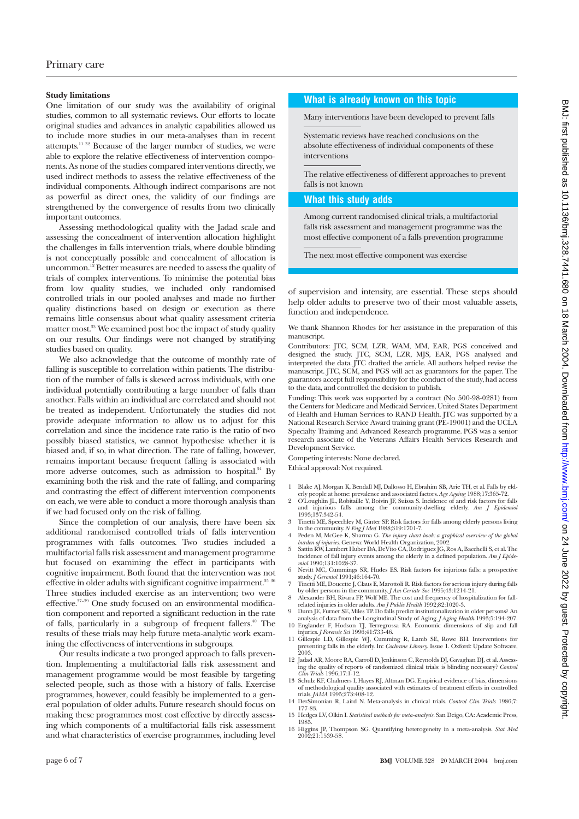#### **Study limitations**

One limitation of our study was the availability of original studies, common to all systematic reviews. Our efforts to locate original studies and advances in analytic capabilities allowed us to include more studies in our meta-analyses than in recent attempts.11 32 Because of the larger number of studies, we were able to explore the relative effectiveness of intervention components. As none of the studies compared interventions directly, we used indirect methods to assess the relative effectiveness of the individual components. Although indirect comparisons are not as powerful as direct ones, the validity of our findings are strengthened by the convergence of results from two clinically important outcomes.

Assessing methodological quality with the Jadad scale and assessing the concealment of intervention allocation highlight the challenges in falls intervention trials, where double blinding is not conceptually possible and concealment of allocation is uncommon.12 Better measures are needed to assess the quality of trials of complex interventions. To minimise the potential bias from low quality studies, we included only randomised controlled trials in our pooled analyses and made no further quality distinctions based on design or execution as there remains little consensus about what quality assessment criteria matter most.<sup>33</sup> We examined post hoc the impact of study quality on our results. Our findings were not changed by stratifying studies based on quality.

We also acknowledge that the outcome of monthly rate of falling is susceptible to correlation within patients. The distribution of the number of falls is skewed across individuals, with one individual potentially contributing a large number of falls than another. Falls within an individual are correlated and should not be treated as independent. Unfortunately the studies did not provide adequate information to allow us to adjust for this correlation and since the incidence rate ratio is the ratio of two possibly biased statistics, we cannot hypothesise whether it is biased and, if so, in what direction. The rate of falling, however, remains important because frequent falling is associated with more adverse outcomes, such as admission to hospital.<sup>34</sup> By examining both the risk and the rate of falling, and comparing and contrasting the effect of different intervention components on each, we were able to conduct a more thorough analysis than if we had focused only on the risk of falling.

Since the completion of our analysis, there have been six additional randomised controlled trials of falls intervention programmes with falls outcomes. Two studies included a multifactorial falls risk assessment and management programme but focused on examining the effect in participants with cognitive impairment. Both found that the intervention was not effective in older adults with significant cognitive impairment.<sup>35</sup> <sup>36</sup> Three studies included exercise as an intervention; two were effective.37–39 One study focused on an environmental modification component and reported a significant reduction in the rate of falls, particularly in a subgroup of frequent fallers.<sup>40</sup> The results of these trials may help future meta-analytic work examining the effectiveness of interventions in subgroups.

Our results indicate a two pronged approach to falls prevention. Implementing a multifactorial falls risk assessment and management programme would be most feasible by targeting selected people, such as those with a history of falls. Exercise programmes, however, could feasibly be implemented to a general population of older adults. Future research should focus on making these programmes most cost effective by directly assessing which components of a multifactorial falls risk assessment and what characteristics of exercise programmes, including level

# **What is already known on this topic**

Many interventions have been developed to prevent falls

Systematic reviews have reached conclusions on the absolute effectiveness of individual components of these interventions

The relative effectiveness of different approaches to prevent falls is not known

#### **What this study adds**

Among current randomised clinical trials, a multifactorial falls risk assessment and management programme was the most effective component of a falls prevention programme

The next most effective component was exercise

of supervision and intensity, are essential. These steps should help older adults to preserve two of their most valuable assets, function and independence.

We thank Shannon Rhodes for her assistance in the preparation of this manuscript.

Contributors: JTC, SCM, LZR, WAM, MM, EAR, PGS conceived and designed the study. JTC, SCM, LZR, MJS, EAR, PGS analysed and interpreted the data. JTC drafted the article. All authors helped revise the manuscript. JTC, SCM, and PGS will act as guarantors for the paper. The guarantors accept full responsibility for the conduct of the study, had access to the data, and controlled the decision to publish.

Funding: This work was supported by a contract (No 500-98-0281) from the Centers for Medicare and Medicaid Services, United States Department of Health and Human Services to RAND Health. JTC was supported by a National Research Service Award training grant (PE-19001) and the UCLA Specialty Training and Advanced Research programme. PGS was a senior research associate of the Veterans Affairs Health Services Research and Development Service.

Competing interests: None declared.

Ethical approval: Not required.

- 1 Blake AJ, Morgan K, Bendall MJ, Dallosso H, Ebrahim SB, Arie TH, et al. Falls by eld-erly people at home: prevalence and associated factors. *Age Ageing* 1988;17:365-72.
- 2 O'Loughlin JL, Robitaille Y, Boivin JF, Suissa S. Incidence of and risk factors for falls and injurious falls among the community-dwelling elderly. Am *I Epidemio* and injurious falls among the community-dwelling elderly. *Am J Epidemiol* 1993;137:342-54.
- 3 Tinetti ME, Speechley M, Ginter SP. Risk factors for falls among elderly persons living
- in the community. *N Eng J Med* 1988;319:1701-7. 4 Peden M, McGee K, Sharma G. *The injury chart book: a graphical overview of the global burden of injuries*. Geneva: World Health Organization, 2002. 5 Sattin RW, Lambert Huber DA, DeVito CA, Rodriguez JG, Ros A, Bacchelli S, et al. The
- incidence of fall injury events among the elderly in a defined population. *Am J Epide-miol* 1990;131:1028-37.
- 6 Nevitt MC, Cummings SR, Hudes ES. Risk factors for injurious falls: a prospective study. *J Gerontol* 1991;46:164-70.
- 7 Tinetti ME, Doucette J, Claus E, Marottoli R. Risk factors for serious injury during falls by older persons in the community. *J Am Geriatr Soc* 1995;43:1214-21. 8 Alexander BH, Rivara FP, Wolf ME. The cost and frequency of hospitalization for fall-
- related injuries in older adults. *Am J Public Health* 1992;82:1020-3. 9 Dunn JE, Furner SE, Miles TP. Do falls predict institutionalization in older persons? An
- analysis of data from the Longitudinal Study of Aging. *J Aging Health* 1993;5:194-207. 10 Englander F, Hodson TJ, Terregrossa RA. Economic dimensions of slip and fall
- injuries. *J Forensic Sci* 1996;41:733-46. 11 Gillespie LD, Gillespie WJ, Cumming R, Lamb SE, Rowe BH. Interventions for
- preventing falls in the elderly. In: *Cochrane Library*. Issue 1. Oxford: Update Software, 2003.
- 12 Jadad AR, Moore RA, Carroll D, Jenkinson C, Reynolds DJ, Gavaghan DJ, et al. Assess-ing the quality of reports of randomized clinical trials: is blinding necessary? *Control Clin Trials* 1996;17:1-12.
- 13 Schulz KF, Chalmers I, Hayes RJ, Altman DG. Empirical evidence of bias, dimensions of methodological quality associated with estimates of treatment effects in controlled trials. *JAMA* 1995;273:408-12.
- 14 DerSimonian R, Laird N. Meta-analysis in clinical trials. *Control Clin Trials* 1986;7: 177-83.
- 15 Hedges LV, Olkin I. *Statistical methods for meta-analysis*. San Deigo, CA: Academic Press,
- 1985. 16 Higgins JP, Thompson SG. Quantifying heterogeneity in a meta-analysis. *Stat Med* 2002;21:1539-58.